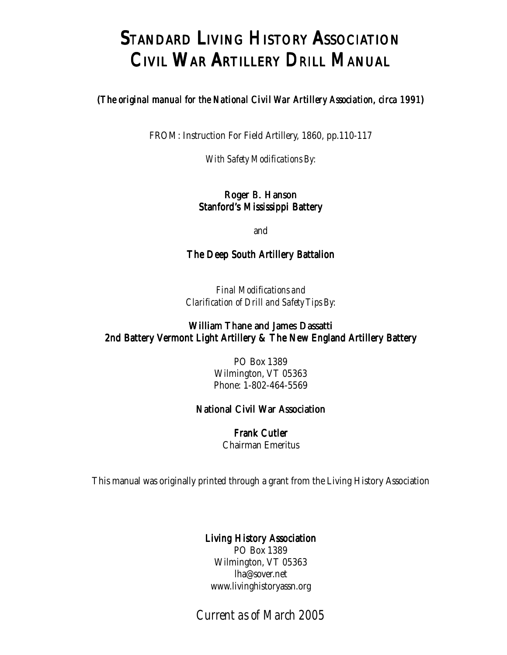## STANDARD LIVING HISTORY ASSOCIATION CIVIL WAR ARTILLERY DRILL MANUAL

#### (*The original manual for the National Civil War Artillery Association, circa 1991*)

FROM: Instruction For Field Artillery, 1860, pp.110-117

*With Safety Modifications By:*

#### Roger B. Hanson Stanford's Mississippi Battery

and

#### The Deep South Artillery Battalion

*Final Modifications and Clarification of Drill and Safety Tips By:*

#### William Thane and James Dassatti 2nd Battery Vermont Light Artillery & The New England Artillery Battery

PO Box 1389 Wilmington, VT 05363 Phone: 1-802-464-5569

#### National Civil War Association

Frank Cutler Chairman Emeritus

This manual was originally printed through a grant from the Living History Association

#### Living History Association

PO Box 1389 Wilmington, VT 05363 lha@sover.net www.livinghistoryassn.org

*Current as of March 2005*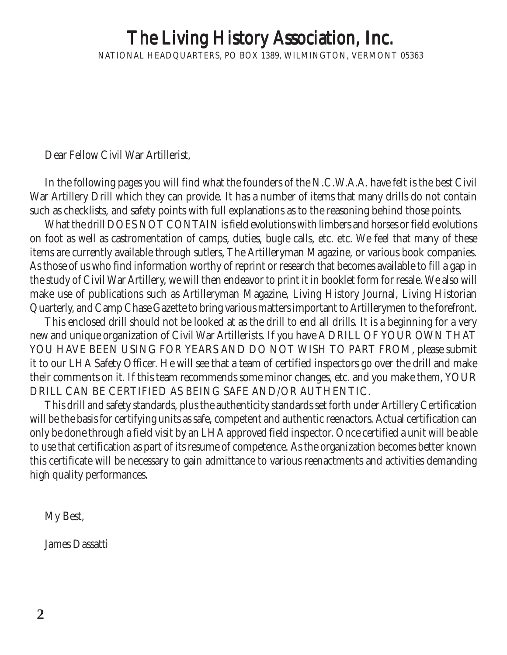# The Living History Association, Inc.

NATIONAL HEADQUARTERS, PO BOX 1389, WILMINGTON, VERMONT 05363

Dear Fellow Civil War Artillerist,

In the following pages you will find what the founders of the N.C.W.A.A. have felt is the best Civil War Artillery Drill which they can provide. It has a number of items that many drills do not contain such as checklists, and safety points with full explanations as to the reasoning behind those points.

What the drill DOES NOT CONTAIN is field evolutions with limbers and horses or field evolutions on foot as well as castromentation of camps, duties, bugle calls, etc. etc. We feel that many of these items are currently available through sutlers, The Artilleryman Magazine, or various book companies. As those of us who find information worthy of reprint or research that becomes available to fill a gap in the study of Civil War Artillery, we will then endeavor to print it in booklet form for resale. We also will make use of publications such as Artilleryman Magazine, Living History Journal, Living Historian Quarterly, and Camp Chase Gazette to bring various matters important to Artillerymen to the forefront.

This enclosed drill should not be looked at as the drill to end all drills. It is a beginning for a very new and unique organization of Civil War Artillerists. If you have A DRILL OF YOUR OWN THAT YOU HAVE BEEN USING FOR YEARS AND DO NOT WISH TO PART FROM, please submit it to our LHA Safety Officer. He will see that a team of certified inspectors go over the drill and make their comments on it. If this team recommends some minor changes, etc. and you make them, YOUR DRILL CAN BE CERTIFIED AS BEING SAFE AND/OR AUTHENTIC.

This drill and safety standards, plus the authenticity standards set forth under Artillery Certification will be the basis for certifying units as safe, competent and authentic reenactors. Actual certification can only be done through a field visit by an LHA approved field inspector. Once certified a unit will be able to use that certification as part of its resume of competence. As the organization becomes better known this certificate will be necessary to gain admittance to various reenactments and activities demanding high quality performances.

My Best,

James Dassatti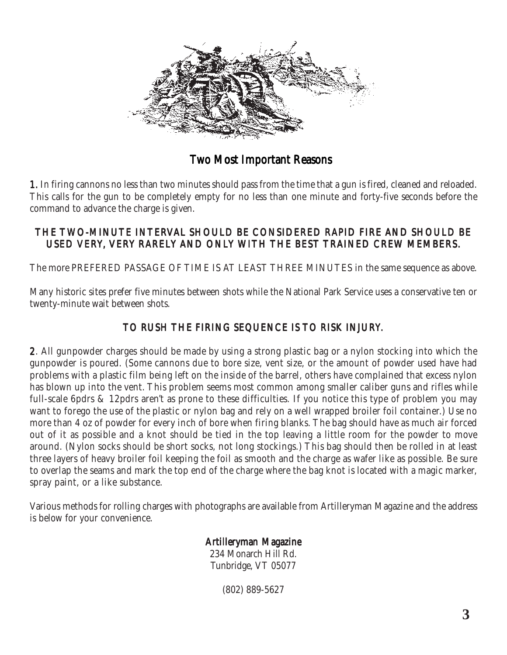

Two Most Important Reasons

1. In firing cannons no less than two minutes should pass from the time that a gun is fired, cleaned and reloaded. This calls for the gun to be completely empty for no less than one minute and forty-five seconds before the command to advance the charge is given.

#### THE TWO-MINUTE INTERVAL SHOULD BE CONSIDERED RAPID FIRE AND SHOULD BE USED VERY, VERY RARELY AND ONLY WITH THE BEST TRAINED CREW MEMBERS.

The more PREFERED PASSAGE OF TIME IS AT LEAST THREE MINUTES in the same sequence as above.

Many historic sites prefer five minutes between shots while the National Park Service uses a conservative ten or twenty-minute wait between shots.

### TO RUSH THE FIRING SEQUENCE IS TO RISK INJURY.

2. All gunpowder charges should be made by using a strong plastic bag or a nylon stocking into which the gunpowder is poured. (Some cannons due to bore size, vent size, or the amount of powder used have had problems with a plastic film being left on the inside of the barrel, others have complained that excess nylon has blown up into the vent. This problem seems most common among smaller caliber guns and rifles while full-scale 6pdrs & 12pdrs aren't as prone to these difficulties. If you notice this type of problem you may want to forego the use of the plastic or nylon bag and rely on a well wrapped broiler foil container.) Use no more than 4 oz of powder for every inch of bore when firing blanks. The bag should have as much air forced out of it as possible and a knot should be tied in the top leaving a little room for the powder to move around. (Nylon socks should be short socks, not long stockings.) This bag should then be rolled in at least three layers of heavy broiler foil keeping the foil as smooth and the charge as wafer like as possible. Be sure to overlap the seams and mark the top end of the charge where the bag knot is located with a magic marker, spray paint, or a like substance.

Various methods for rolling charges with photographs are available from Artilleryman Magazine and the address is below for your convenience.

### Artilleryman Magazine

234 Monarch Hill Rd. Tunbridge, VT 05077

(802) 889-5627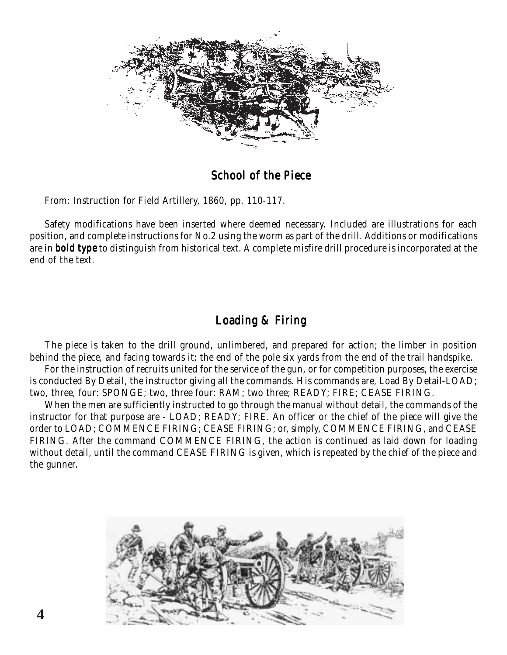

### School of the Piece

From: Instruction for Field Artillery, 1860, pp. 110-117.

Safety modifications have been inserted where deemed necessary. Included are illustrations for each position, and complete instructions for No.2 using the worm as part of the drill. Additions or modifications are in **bold type** to distinguish from historical text. A complete misfire drill procedure is incorporated at the end of the text.

### Loading & Firing

The piece is taken to the drill ground, unlimbered, and prepared for action; the limber in position behind the piece, and facing towards it; the end of the pole six yards from the end of the trail handspike.

For the instruction of recruits united for the service of the gun, or for competition purposes, the exercise is conducted By Detail, the instructor giving all the commands. His commands are, Load By Detail-LOAD; two, three, four: SPONGE; two, three four: RAM; two three; READY; FIRE; CEASE FIRING.

When the men are sufficiently instructed to go through the manual without detail, the commands of the instructor for that purpose are - LOAD; READY; FIRE. An officer or the chief of the piece will give the order to LOAD; COMMENCE FIRING; CEASE FIRING; or, simply, COMMENCE FIRING, and CEASE FIRING. After the command COMMENCE FIRING, the action is continued as laid down for loading without detail, until the command CEASE FIRING is given, which is repeated by the chief of the piece and the gunner.

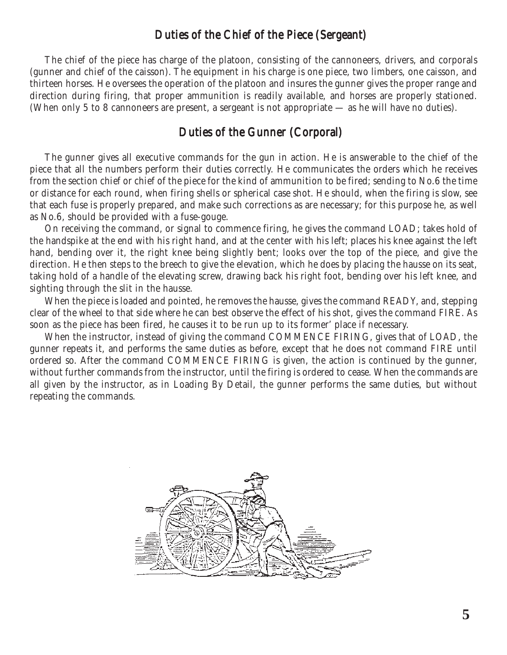#### Duties of the Chief of the Piece (Sergeant)

The chief of the piece has charge of the platoon, consisting of the cannoneers, drivers, and corporals (gunner and chief of the caisson). The equipment in his charge is one piece, two limbers, one caisson, and thirteen horses. He oversees the operation of the platoon and insures the gunner gives the proper range and direction during firing, that proper ammunition is readily available, and horses are properly stationed. (When only 5 to 8 cannoneers are present, a sergeant is not appropriate — as he will have no duties).

#### Duties of the Gunner (Corporal)

The gunner gives all executive commands for the gun in action. He is answerable to the chief of the piece that all the numbers perform their duties correctly. He communicates the orders which he receives from the section chief or chief of the piece for the kind of ammunition to be fired; sending to No.6 the time or distance for each round, when firing shells or spherical case shot. He should, when the firing is slow, see that each fuse is properly prepared, and make such corrections as are necessary; for this purpose he, as well as No.6, should be provided with a fuse-gouge.

On receiving the command, or signal to commence firing, he gives the command LOAD; takes hold of the handspike at the end with his right hand, and at the center with his left; places his knee against the left hand, bending over it, the right knee being slightly bent; looks over the top of the piece, and give the direction. He then steps to the breech to give the elevation, which he does by placing the hausse on its seat, taking hold of a handle of the elevating screw, drawing back his right foot, bending over his left knee, and sighting through the slit in the hausse.

When the piece is loaded and pointed, he removes the hausse, gives the command READY, and, stepping clear of the wheel to that side where he can best observe the effect of his shot, gives the command FIRE. As soon as the piece has been fired, he causes it to be run up to its former' place if necessary.

When the instructor, instead of giving the command COMMENCE FIRING, gives that of LOAD, the gunner repeats it, and performs the same duties as before, except that he does not command FIRE until ordered so. After the command COMMENCE FIRING is given, the action is continued by the gunner, without further commands from the instructor, until the firing is ordered to cease. When the commands are all given by the instructor, as in Loading By Detail, the gunner performs the same duties, but without repeating the commands.

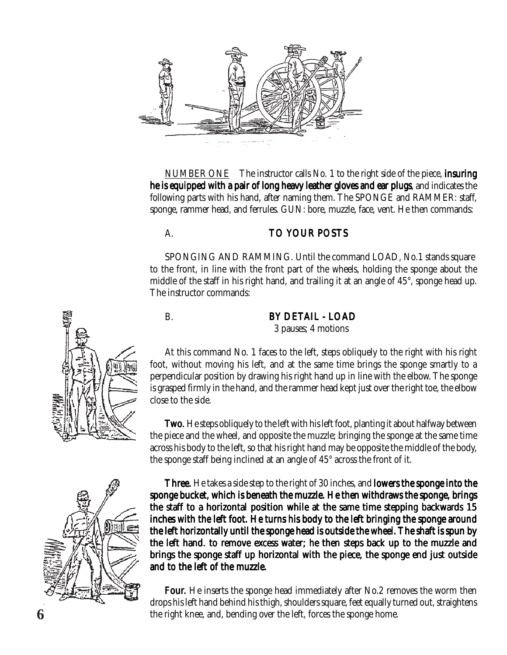

NUMBER ONE The instructor calls No. 1 to the right side of the piece, **insuring** he is equipped with a pair of long heavy leather gloves and ear plugs, and indicates the following parts with his hand, after naming them. The SPONGE and RAMMER: staff, sponge, rammer head, and ferrules. GUN: bore, muzzle, face, vent. He then commands:

#### A. TO YOUR POSTS

SPONGING AND RAMMING. Until the command LOAD, No.1 stands square to the front, in line with the front part of the wheels, holding the sponge about the middle of the staff in his right hand, and trailing it at an angle of 45°, sponge head up. The instructor commands:

#### B. BY DETAIL - LOAD 3 pauses; 4 motions

At this command No. 1 faces to the left, steps obliquely to the right with his right foot, without moving his left, and at the same time brings the sponge smartly to a perpendicular position by drawing his right hand up in line with the elbow. The sponge is grasped firmly in the hand, and the rammer head kept just over the right toe, the elbow close to the side.

**Two.** He steps obliquely to the left with his left foot, planting it about halfway between the piece and the wheel, and opposite the muzzle; bringing the sponge at the same time across his body to the left, so that his right hand may be opposite the middle of the body, the sponge staff being inclined at an angle of 45° across the front of it.



Three. He takes a side step to the right of 30 inches, and **lowers the sponge into the** sponge bucket, which is beneath the muzzle. He then withdraws the sponge, brings the staff to a horizontal position while at the same time stepping backwards 15 inches with the left foot. He turns his body to the left bringing the sponge around the left horizontally until the sponge head is outside the wheel. The shaft is spun by the left hand. to remove excess water; he then steps back up to the muzzle and brings the sponge staff up horizontal with the piece, the sponge end just outside and to the left of the muzzle.

Four. He inserts the sponge head immediately after No.2 removes the worm then drops his left hand behind his thigh, shoulders square, feet equally turned out, straightens **6** the right knee, and, bending over the left, forces the sponge home.

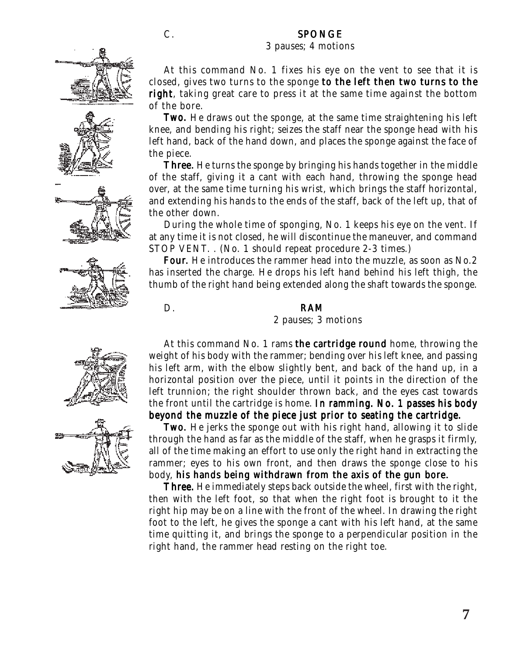#### C. SPONGE

#### 3 pauses; 4 motions







At this command No. 1 fixes his eye on the vent to see that it is closed, gives two turns to the sponge to the left then two turns to the right, taking great care to press it at the same time against the bottom of the bore.

**Two.** He draws out the sponge, at the same time straightening his left knee, and bending his right; seizes the staff near the sponge head with his left hand, back of the hand down, and places the sponge against the face of the piece.

**Three.** He turns the sponge by bringing his hands together in the middle of the staff, giving it a cant with each hand, throwing the sponge head over, at the same time turning his wrist, which brings the staff horizontal, and extending his hands to the ends of the staff, back of the left up, that of the other down.

During the whole time of sponging, No. 1 keeps his eye on the vent. If at any time it is not closed, he will discontinue the maneuver, and command STOP VENT. . (No. 1 should repeat procedure 2-3 times.)

Four. He introduces the rammer head into the muzzle, as soon as No.2 has inserted the charge. He drops his left hand behind his left thigh, the thumb of the right hand being extended along the shaft towards the sponge.

#### D. RAM

2 pauses; 3 motions

At this command No. 1 rams the cartridge round home, throwing the weight of his body with the rammer; bending over his left knee, and passing his left arm, with the elbow slightly bent, and back of the hand up, in a horizontal position over the piece, until it points in the direction of the left trunnion; the right shoulder thrown back, and the eyes cast towards the front until the cartridge is home. In ramming. No. 1 passes his body



beyond the muzzle of the piece just prior to seating the cartridge. **Two.** He jerks the sponge out with his right hand, allowing it to slide through the hand as far as the middle of the staff, when he grasps it firmly, all of the time making an effort to use only the right hand in extracting the rammer; eyes to his own front, and then draws the sponge close to his body, his hands being withdrawn from the axis of the gun bore.

Three. He immediately steps back outside the wheel, first with the right, then with the left foot, so that when the right foot is brought to it the right hip may be on a line with the front of the wheel. In drawing the right foot to the left, he gives the sponge a cant with his left hand, at the same time quitting it, and brings the sponge to a perpendicular position in the right hand, the rammer head resting on the right toe.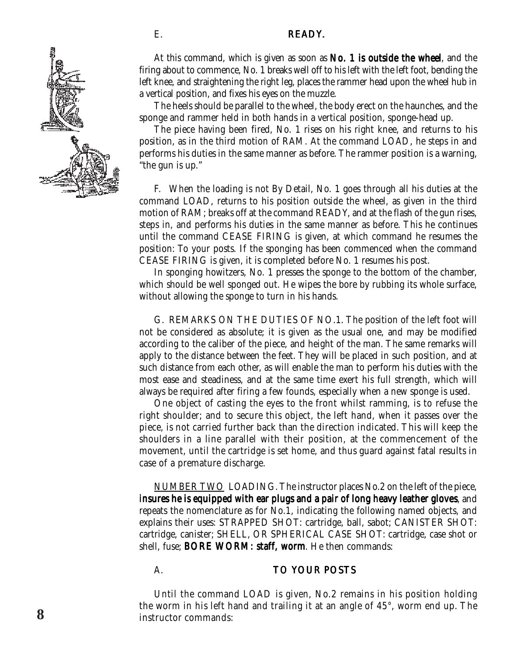#### E. READY.



At this command, which is given as soon as  $No. 1$  is outside the wheel, and the firing about to commence, No. 1 breaks well off to his left with the left foot, bending the left knee, and straightening the right leg, places the rammer head upon the wheel hub in a vertical position, and fixes his eyes on the muzzle.

The heels should be parallel to the wheel, the body erect on the haunches, and the sponge and rammer held in both hands in a vertical position, sponge-head up.

The piece having been fired, No. 1 rises on his right knee, and returns to his position, as in the third motion of RAM. At the command LOAD, he steps in and performs his duties in the same manner as before. The rammer position is a warning, "the gun is up."

F. When the loading is not By Detail, No. 1 goes through all his duties at the command LOAD, returns to his position outside the wheel, as given in the third motion of RAM; breaks off at the command READY, and at the flash of the gun rises, steps in, and performs his duties in the same manner as before. This he continues until the command CEASE FIRING is given, at which command he resumes the position: To your posts. If the sponging has been commenced when the command CEASE FIRING is given, it is completed before No. 1 resumes his post.

In sponging howitzers, No. 1 presses the sponge to the bottom of the chamber, which should be well sponged out. He wipes the bore by rubbing its whole surface, without allowing the sponge to turn in his hands.

G. REMARKS ON THE DUTIES OF NO.1. The position of the left foot will not be considered as absolute; it is given as the usual one, and may be modified according to the caliber of the piece, and height of the man. The same remarks will apply to the distance between the feet. They will be placed in such position, and at such distance from each other, as will enable the man to perform his duties with the most ease and steadiness, and at the same time exert his full strength, which will always be required after firing a few founds, especially when a new sponge is used.

One object of casting the eyes to the front whilst ramming, is to refuse the right shoulder; and to secure this object, the left hand, when it passes over the piece, is not carried further back than the direction indicated. This will keep the shoulders in a line parallel with their position, at the commencement of the movement, until the cartridge is set home, and thus guard against fatal results in case of a premature discharge.

NUMBER TWO LOADING. The instructor places No.2 on the left of the piece, insures he is equipped with ear plugs and a pair of long heavy leather gloves, and repeats the nomenclature as for No.1, indicating the following named objects, and explains their uses: STRAPPED SHOT: cartridge, ball, sabot; CANISTER SHOT: cartridge, canister; SHELL, OR SPHERICAL CASE SHOT: cartridge, case shot or shell, fuse; BORE WORM: staff, worm. He then commands:

#### A. TO YOUR POSTS

Until the command LOAD is given, No.2 remains in his position holding the worm in his left hand and trailing it at an angle of 45°, worm end up. The **<sup>8</sup>** instructor commands: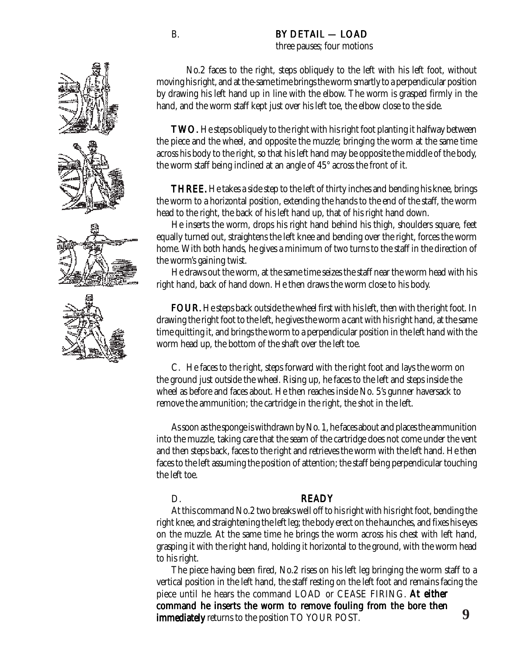### B. BY DETAIL — LOAD

three pauses; four motions

No.2 faces to the right, steps obliquely to the left with his left foot, without moving his right, and at the-same time brings the worm smartly to a perpendicular position by drawing his left hand up in line with the elbow. The worm is grasped firmly in the hand, and the worm staff kept just over his left toe, the elbow close to the side.

**TWO.** He steps obliquely to the right with his right foot planting it halfway between the piece and the wheel, and opposite the muzzle; bringing the worm at the same time across his body to the right, so that his left hand may be opposite the middle of the body, the worm staff being inclined at an angle of 45° across the front of it.

**THREE.** He takes a side step to the left of thirty inches and bending his knee, brings the worm to a horizontal position, extending the hands to the end of the staff, the worm head to the right, the back of his left hand up, that of his right hand down.

He inserts the worm, drops his right hand behind his thigh, shoulders square, feet equally turned out, straightens the left knee and bending over the right, forces the worm home. With both hands, he gives a minimum of two turns to the staff in the direction of the worm's gaining twist.

He draws out the worm, at the same time seizes the staff near the worm head with his right hand, back of hand down. He then draws the worm close to his body.

**FOUR.** He steps back outside the wheel first with his left, then with the right foot. In drawing the right foot to the left, he gives the worm a cant with his right hand, at the same time quitting it, and brings the worm to a perpendicular position in the left hand with the worm head up, the bottom of the shaft over the left toe.

C. He faces to the right, steps forward with the right foot and lays the worm on the ground just outside the wheel. Rising up, he faces to the left and steps inside the wheel as before and faces about. He then reaches inside No. 5's gunner haversack to remove the ammunition; the cartridge in the right, the shot in the left.

As soon as the sponge is withdrawn by No. 1, he faces about and places the ammunition into the muzzle, taking care that the seam of the cartridge does not come under the vent and then steps back, faces to the right and retrieves the worm with the left hand. He then faces to the left assuming the position of attention; the staff being perpendicular touching the left toe.

#### D. **READY**

At this command No.2 two breaks well off to his right with his right foot, bending the right knee, and straightening the left leg; the body erect on the haunches, and fixes his eyes on the muzzle. At the same time he brings the worm across his chest with left hand, grasping it with the right hand, holding it horizontal to the ground, with the worm head to his right.

The piece having been fired, No.2 rises on his left leg bringing the worm staff to a vertical position in the left hand, the staff resting on the left foot and remains facing the piece until he hears the command LOAD or CEASE FIRING. At either command he inserts the worm to remove fouling from the bore then immediately returns to the position TO YOUR POST.

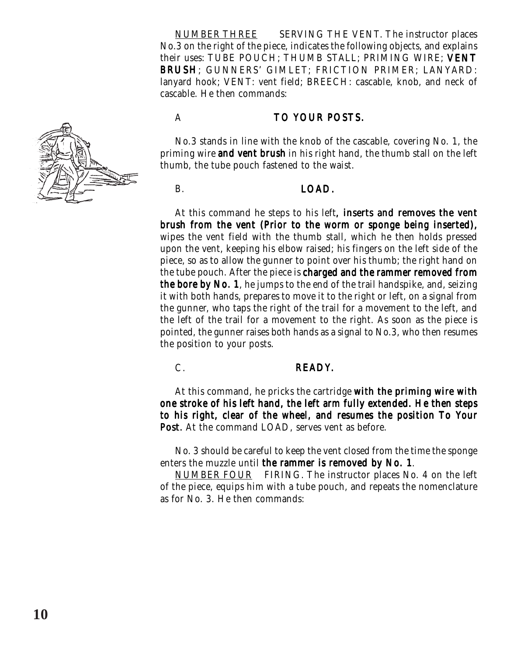NUMBER THREE SERVING THE VENT. The instructor places No.3 on the right of the piece, indicates the following objects, and explains their uses: TUBE POUCH; THUMB STALL; PRIMING WIRE; VENT BRUSH; GUNNERS' GIMLET; FRICTION PRIMER; LANYARD: lanyard hook; VENT: vent field; BREECH: cascable, knob, and neck of cascable. He then commands:



#### A TO YOUR POSTS.

No.3 stands in line with the knob of the cascable, covering No. 1, the priming wire **and vent brush** in his right hand, the thumb stall on the left thumb, the tube pouch fastened to the waist.

#### B. LOAD.

At this command he steps to his left, **inserts and removes the vent** brush from the vent (Prior to the worm or sponge being inserted), wipes the vent field with the thumb stall, which he then holds pressed upon the vent, keeping his elbow raised; his fingers on the left side of the piece, so as to allow the gunner to point over his thumb; the right hand on the tube pouch. After the piece is charged and the rammer removed from the bore by No. 1, he jumps to the end of the trail handspike, and, seizing it with both hands, prepares to move it to the right or left, on a signal from the gunner, who taps the right of the trail for a movement to the left, and the left of the trail for a movement to the right. As soon as the piece is pointed, the gunner raises both hands as a signal to No.3, who then resumes the position to your posts.

#### C. READY.

At this command, he pricks the cartridge with the priming wire with one stroke of his left hand, the left arm fully extended. He then steps to his right, clear of the wheel, and resumes the position To Your Post. At the command LOAD, serves vent as before.

No. 3 should be careful to keep the vent closed from the time the sponge enters the muzzle until the rammer is removed by No. 1.

NUMBER FOUR FIRING. The instructor places No. 4 on the left of the piece, equips him with a tube pouch, and repeats the nomenclature as for No. 3. He then commands: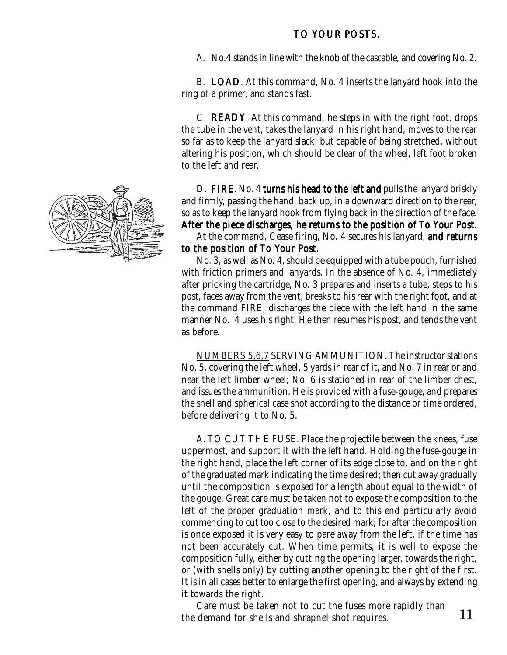#### TO YOUR POSTS.

A. No.4 stands in line with the knob of the cascable, and covering No. 2.

B. LOAD. At this command, No. 4 inserts the lanyard hook into the ring of a primer, and stands fast.

C. **READY**. At this command, he steps in with the right foot, drops the tube in the vent, takes the lanyard in his right hand, moves to the rear so far as to keep the lanyard slack, but capable of being stretched, without altering his position, which should be clear of the wheel, left foot broken to the left and rear.

D. FIRE. No. 4 turns his head to the left and pulls the lanyard briskly and firmly, passing the hand, back up, in a downward direction to the rear, so as to keep the lanyard hook from flying back in the direction of the face. After the piece discharges, he returns to the position of To Your Post.

At the command, Cease firing, No. 4 secures his lanyard, and returns to the position of To Your Post.

No. 3, as well as No. 4, should be equipped with a tube pouch, furnished with friction primers and lanyards. In the absence of No. 4, immediately after pricking the cartridge, No. 3 prepares and inserts a tube, steps to his post, faces away from the vent, breaks to his rear with the right foot, and at the command FIRE, discharges the piece with the left hand in the same manner No. 4 uses his right. He then resumes his post, and tends the vent as before.

NUMBERS 5,6,7 SERVING AMMUNITION. The instructor stations No. 5, covering the left wheel, 5 yards in rear of it, and No. 7 in rear or and near the left limber wheel; No. 6 is stationed in rear of the limber chest, and issues the ammunition. He is provided with a fuse-gouge, and prepares the shell and spherical case shot according to the distance or time ordered, before delivering it to No. 5.

A. TO CUT THE FUSE. Place the projectile between the knees, fuse uppermost, and support it with the left hand. Holding the fuse-gouge in the right hand, place the left corner of its edge close to, and on the right of the graduated mark indicating the time desired; then cut away gradually until the composition is exposed for a length about equal to the width of the gouge. Great care must be taken not to expose the composition to the left of the proper graduation mark, and to this end particularly avoid commencing to cut too close to the desired mark; for after the composition is once exposed it is very easy to pare away from the left, if the time has not been accurately cut. When time permits, it is well to expose the composition fully, either by cutting the opening larger, towards the right, or (with shells only) by cutting another opening to the right of the first. It is in all cases better to enlarge the first opening, and always by extending it towards the right.

Care must be taken not to cut the fuses more rapidly than the demand for shells and shrapnel shot requires. **11** 

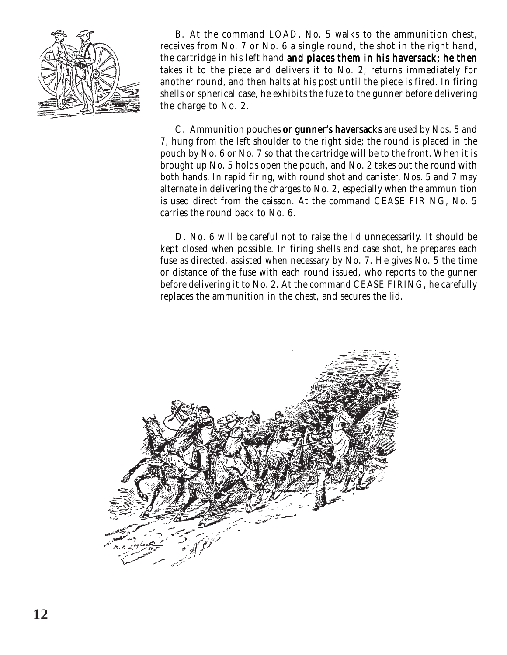

B. At the command LOAD, No. 5 walks to the ammunition chest, receives from No. 7 or No. 6 a single round, the shot in the right hand, the cartridge in his left hand and places them in his haversack; he then takes it to the piece and delivers it to No. 2; returns immediately for another round, and then halts at his post until the piece is fired. In firing shells or spherical case, he exhibits the fuze to the gunner before delivering the charge to No. 2.

C. Ammunition pouches or gunner's haversacks are used by Nos. 5 and 7, hung from the left shoulder to the right side; the round is placed in the pouch by No. 6 or No. 7 so that the cartridge will be to the front. When it is brought up No. 5 holds open the pouch, and No. 2 takes out the round with both hands. In rapid firing, with round shot and canister, Nos. 5 and 7 may alternate in delivering the charges to No. 2, especially when the ammunition is used direct from the caisson. At the command CEASE FIRING, No. 5 carries the round back to No. 6.

D. No. 6 will be careful not to raise the lid unnecessarily. It should be kept closed when possible. In firing shells and case shot, he prepares each fuse as directed, assisted when necessary by No. 7. He gives No. 5 the time or distance of the fuse with each round issued, who reports to the gunner before delivering it to No. 2. At the command CEASE FIRING, he carefully replaces the ammunition in the chest, and secures the lid.

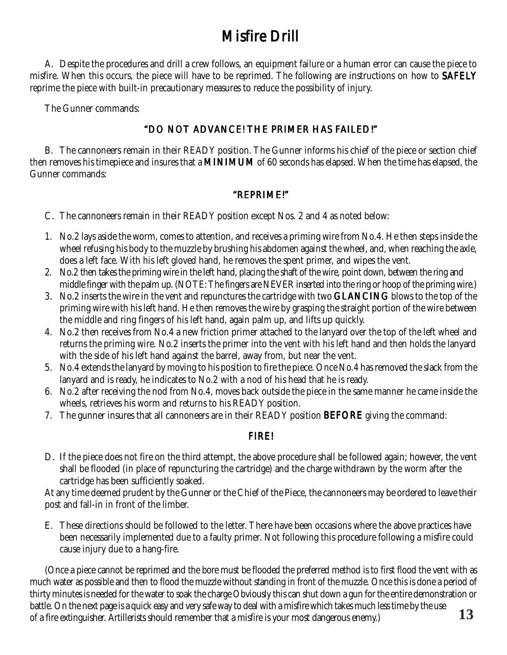## Misfire Drill

A. Despite the procedures and drill a crew follows, an equipment failure or a human error can cause the piece to misfire. When this occurs, the piece will have to be reprimed. The following are instructions on how to SAFELY reprime the piece with built-in precautionary measures to reduce the possibility of injury.

The Gunner commands:

#### "DO NOT ADVANCE! THE PRIMER HAS FAILED!"

B. The cannoneers remain in their READY position. The Gunner informs his chief of the piece or section chief then removes his timepiece and insures that a **MINIMUM** of 60 seconds has elapsed. When the time has elapsed, the Gunner commands:

#### "REPRIME!"

- C. The cannoneers remain in their READY position except Nos. 2 and 4 as noted below:
- 1. No.2 lays aside the worm, comes to attention, and receives a priming wire from No.4. He then steps inside the wheel refusing his body to the muzzle by brushing his abdomen against the wheel, and, when reaching the axle, does a left face. With his left gloved hand, he removes the spent primer, and wipes the vent.
- 2. No.2 then takes the priming wire in the left hand, placing the shaft of the wire, point down, between the ring and middle finger with the palm up. (NOTE: The fingers are NEVER inserted into the ring or hoop of the priming wire.)
- 3. No.2 inserts the wire in the vent and repunctures the cartridge with two **GLANCING** blows to the top of the priming wire with his left hand. He then removes the wire by grasping the straight portion of the wire between the middle and ring fingers of his left hand, again palm up, and lifts up quickly.
- 4. No.2 then receives from No.4 a new friction primer attached to the lanyard over the top of the left wheel and returns the priming wire. No.2 inserts the primer into the vent with his left hand and then holds the lanyard with the side of his left hand against the barrel, away from, but near the vent.
- 5. No.4 extends the lanyard by moving to his position to fire the piece. Once No.4 has removed the slack from the lanyard and is ready, he indicates to No.2 with a nod of his head that he is ready.
- 6. No.2 after receiving the nod from No.4, moves back outside the piece in the same manner he came inside the wheels, retrieves his worm and returns to his READY position.
- 7. The gunner insures that all cannoneers are in their READY position **BEFORE** giving the command:

#### FIRE!

D. If the piece does not fire on the third attempt, the above procedure shall be followed again; however, the vent shall be flooded (in place of repuncturing the cartridge) and the charge withdrawn by the worm after the cartridge has been sufficiently soaked.

At any time deemed prudent by the Gunner or the Chief of the Piece, the cannoneers may be ordered to leave their post and fall-in in front of the limber.

E. These directions should be followed to the letter. There have been occasions where the above practices have been necessarily implemented due to a faulty primer. Not following this procedure following a misfire could cause injury due to a hang-fire.

(Once a piece cannot be reprimed and the bore must be flooded the preferred method is to first flood the vent with as much water as possible and then to flood the muzzle without standing in front of the muzzle. Once this is done a period of thirty minutes is needed for the water to soak the charge Obviously this can shut down a gun for the entire demonstration or battle. On the next page is a quick easy and very safe way to deal with a misfire which takes much less time by the use of a fire extinguisher. Artillerists should remember that a misfire is your most dangerous enemy.) **13**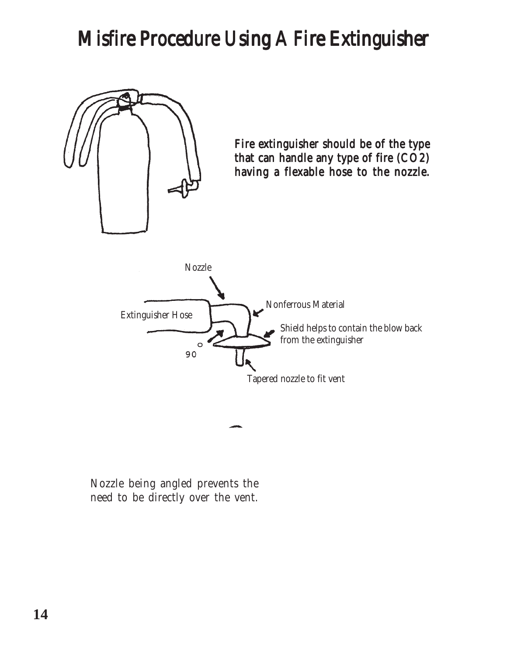# Misfire Procedure Using A Fire Extinguisher

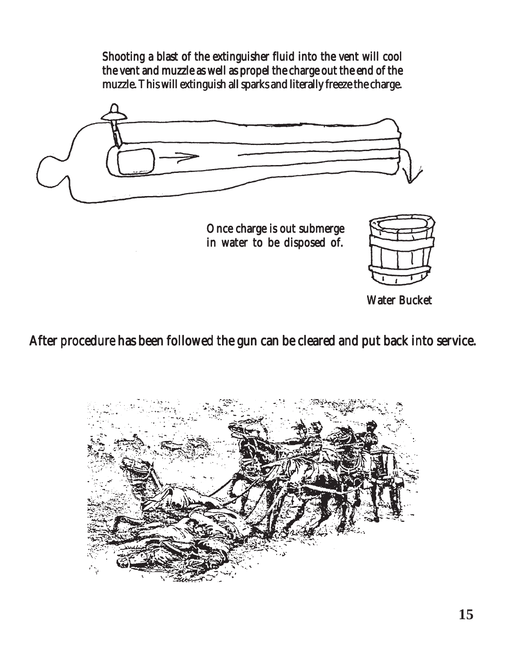Shooting a blast of the extinguisher fluid into the vent will cool the vent and muzzle as well as propel the charge out the end of the muzzle. This will extinguish all sparks and literally freeze the charge.



Once charge is out submerge in water to be disposed of.



Water Bucket

After procedure has been followed the gun can be cleared and put back into service.

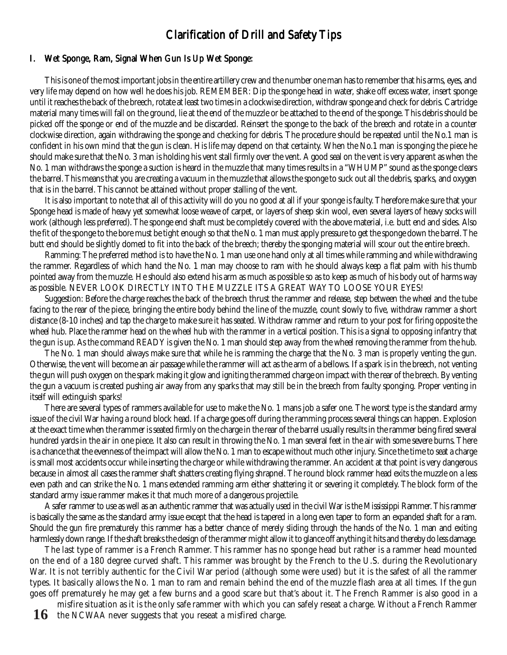#### Clarification of Drill and Safety Tips

#### I. Wet Sponge, Ram, Signal When Gun Is Up Wet Sponge:

This is one of the most important jobs in the entire artillery crew and the number one man has to remember that his arms, eyes, and very life may depend on how well he does his job. REMEMBER: Dip the sponge head in water, shake off excess water, insert sponge until it reaches the back of the breech, rotate at least two times in a clockwise direction, withdraw sponge and check for debris. Cartridge material many times will fall on the ground, lie at the end of the muzzle or be attached to the end of the sponge. This debris should be picked off the sponge or end of the muzzle and be discarded. Reinsert the sponge to the back of the breech and rotate in a counter clockwise direction, again withdrawing the sponge and checking for debris. The procedure should be repeated until the No.1 man is confident in his own mind that the gun is clean. His life may depend on that certainty. When the No.1 man is sponging the piece he should make sure that the No. 3 man is holding his vent stall firmly over the vent. A good seal on the vent is very apparent as when the No. 1 man withdraws the sponge a suction is heard in the muzzle that many times results in a "WHUMP" sound as the sponge clears the barrel. This means that you are creating a vacuum in the muzzle that allows the sponge to suck out all the debris, sparks, and oxygen that is in the barrel. This cannot be attained without proper stalling of the vent.

It is also important to note that all of this activity will do you no good at all if your sponge is faulty. Therefore make sure that your Sponge head is made of heavy yet somewhat loose weave of carpet, or layers of sheep skin wool, even several layers of heavy socks will work (although less preferred). The sponge end shaft must be completely covered with the above material, i.e. butt end and sides. Also the fit of the sponge to the bore must be tight enough so that the No. 1 man must apply pressure to get the sponge down the barrel. The butt end should be slightly domed to fit into the back of the breech; thereby the sponging material will scour out the entire breech.

Ramming: The preferred method is to have the No. 1 man use one hand only at all times while ramming and while withdrawing the rammer. Regardless of which hand the No. 1 man may choose to ram with he should always keep a flat palm with his thumb pointed away from the muzzle. He should also extend his arm as much as possible so as to keep as much of his body out of harms way as possible. NEVER LOOK DIRECTLY INTO THE MUZZLE ITS A GREAT WAY TO LOOSE YOUR EYES!

Suggestion: Before the charge reaches the back of the breech thrust the rammer and release, step between the wheel and the tube facing to the rear of the piece, bringing the entire body behind the line of the muzzle, count slowly to five, withdraw rammer a short distance (8-10 inches) and tap the charge to make sure it has seated. Withdraw rammer and return to your post for firing opposite the wheel hub. Place the rammer head on the wheel hub with the rammer in a vertical position. This is a signal to opposing infantry that the gun is up. As the command READY is given the No. 1 man should step away from the wheel removing the rammer from the hub.

The No. 1 man should always make sure that while he is ramming the charge that the No. 3 man is properly venting the gun. Otherwise, the vent will become an air passage while the rammer will act as the arm of a bellows. If a spark is in the breech, not venting the gun will push oxygen on the spark making it glow and igniting the rammed charge on impact with the rear of the breech. By venting the gun a vacuum is created pushing air away from any sparks that may still be in the breech from faulty sponging. Proper venting in itself will extinguish sparks!

There are several types of rammers available for use to make the No. 1 mans job a safer one. The worst type is the standard army issue of the civil War having a round block head. If a charge goes off during the ramming process several things can happen. Explosion at the exact time when the rammer is seated firmly on the charge in the rear of the barrel usually results in the rammer being fired several hundred yards in the air in one piece. It also can result in throwing the No. 1 man several feet in the air with some severe burns. There is a chance that the evenness of the impact will allow the No. 1 man to escape without much other injury. Since the time to seat a charge is small most accidents occur while inserting the charge or while withdrawing the rammer. An accident at that point is very dangerous because in almost all cases the rammer shaft shatters creating flying shrapnel. The round block rammer head exits the muzzle on a less even path and can strike the No. 1 mans extended ramming arm either shattering it or severing it completely. The block form of the standard army issue rammer makes it that much more of a dangerous projectile.

A safer rammer to use as well as an authentic rammer that was actually used in the civil War is the Mississippi Rammer. This rammer is basically the same as the standard army issue except that the head is tapered in a long even taper to form an expanded shaft for a ram. Should the gun fire prematurely this rammer has a better chance of merely sliding through the hands of the No. 1 man and exiting harmlessly down range. If the shaft breaks the design of the rammer might allow it to glance off anything it hits and thereby do less damage.

The last type of rammer is a French Rammer. This rammer has no sponge head but rather is a rammer head mounted on the end of a 180 degree curved shaft. This rammer was brought by the French to the U.S. during the Revolutionary War. It is not terribly authentic for the Civil War period (although some were used) but it is the safest of all the rammer types. It basically allows the No. 1 man to ram and remain behind the end of the muzzle flash area at all times. If the gun goes off prematurely he may get a few burns and a good scare but that's about it. The French Rammer is also good in a

16 the NCWAA never suggests that you reseat a misfired charge. misfire situation as it is the only safe rammer with which you can safely reseat a charge. Without a French Rammer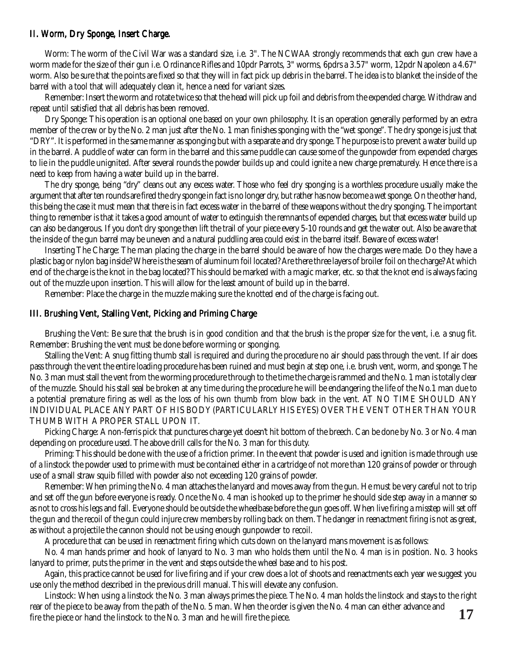#### II. Worm, Dry Sponge, Insert Charge.

Worm: The worm of the Civil War was a standard size, i.e. 3". The NCWAA strongly recommends that each gun crew have a worm made for the size of their gun i.e. Ordinance Rifles and 10pdr Parrots, 3" worms, 6pdrs a 3.57" worm, 12pdr Napoleon a 4.67" worm. Also be sure that the points are fixed so that they will in fact pick up debris in the barrel. The idea is to blanket the inside of the barrel with a tool that will adequately clean it, hence a need for variant sizes.

Remember: Insert the worm and rotate twice so that the head will pick up foil and debris from the expended charge. Withdraw and repeat until satisfied that all debris has been removed.

Dry Sponge: This operation is an optional one based on your own philosophy. It is an operation generally performed by an extra member of the crew or by the No. 2 man just after the No. 1 man finishes sponging with the "wet sponge". The dry sponge is just that "DRY". It is performed in the same manner as sponging but with a separate and dry sponge. The purpose is to prevent a water build up in the barrel. A puddle of water can form in the barrel and this same puddle can cause some of the gunpowder from expended charges to lie in the puddle unignited. After several rounds the powder builds up and could ignite a new charge prematurely. Hence there is a need to keep from having a water build up in the barrel.

The dry sponge, being "dry" cleans out any excess water. Those who feel dry sponging is a worthless procedure usually make the argument that after ten rounds are fired the dry sponge in fact is no longer dry, but rather has now become a wet sponge. On the other hand, this being the case it must mean that there is in fact excess water in the barrel of these weapons without the dry sponging. The important thing to remember is that it takes a good amount of water to extinguish the remnants of expended charges, but that excess water build up can also be dangerous. If you don't dry sponge then lift the trail of your piece every 5-10 rounds and get the water out. Also be aware that the inside of the gun barrel may be uneven and a natural puddling area could exist in the barrel itself. Beware of excess water!

Inserting The Charge: The man placing the charge in the barrel should be aware of how the charges were made. Do they have a plastic bag or nylon bag inside? Where is the seam of aluminum foil located? Are there three layers of broiler foil on the charge? At which end of the charge is the knot in the bag located? This should be marked with a magic marker, etc. so that the knot end is always facing out of the muzzle upon insertion. This will allow for the least amount of build up in the barrel.

Remember: Place the charge in the muzzle making sure the knotted end of the charge is facing out.

#### III. Brushing Vent, Stalling Vent, Picking and Priming Charge

Brushing the Vent: Be sure that the brush is in good condition and that the brush is the proper size for the vent, i.e. a snug fit. Remember: Brushing the vent must be done before worming or sponging.

Stalling the Vent: A snug fitting thumb stall is required and during the procedure no air should pass through the vent. If air does pass through the vent the entire loading procedure has been ruined and must begin at step one, i.e. brush vent, worm, and sponge. The No. 3 man must stall the vent from the worming procedure through to the time the charge is rammed and the No. 1 man is totally clear of the muzzle. Should his stall seal be broken at any time during the procedure he will be endangering the life of the No.1 man due to a potential premature firing as well as the loss of his own thumb from blow back in the vent. AT NO TIME SHOULD ANY INDIVIDUAL PLACE ANY PART OF HIS BODY (PARTICULARLY HIS EYES) OVER THE VENT OTHER THAN YOUR THUMB WITH A PROPER STALL UPON IT.

Picking Charge: A non-ferris pick that punctures charge yet doesn't hit bottom of the breech. Can be done by No. 3 or No. 4 man depending on procedure used. The above drill calls for the No. 3 man for this duty.

Priming: This should be done with the use of a friction primer. In the event that powder is used and ignition is made through use of a linstock the powder used to prime with must be contained either in a cartridge of not more than 120 grains of powder or through use of a small straw squib filled with powder also not exceeding 120 grains of powder.

Remember: When priming the No. 4 man attaches the lanyard and moves away from the gun. He must be very careful not to trip and set off the gun before everyone is ready. Once the No. 4 man is hooked up to the primer he should side step away in a manner so as not to cross his legs and fall. Everyone should be outside the wheelbase before the gun goes off. When live firing a misstep will set off the gun and the recoil of the gun could injure crew members by rolling back on them. The danger in reenactment firing is not as great, as without a projectile the cannon should not be using enough gunpowder to recoil.

A procedure that can be used in reenactment firing which cuts down on the lanyard mans movement is as follows:

No. 4 man hands primer and hook of lanyard to No. 3 man who holds them until the No. 4 man is in position. No. 3 hooks lanyard to primer, puts the primer in the vent and steps outside the wheel base and to his post.

Again, this practice cannot be used for live firing and if your crew does a lot of shoots and reenactments each year we suggest you use only the method described in the previous drill manual. This will elevate any confusion.

**17** Linstock: When using a linstock the No. 3 man always primes the piece. The No. 4 man holds the linstock and stays to the right rear of the piece to be away from the path of the No. 5 man. When the order is given the No. 4 man can either advance and fire the piece or hand the linstock to the No. 3 man and he will fire the piece.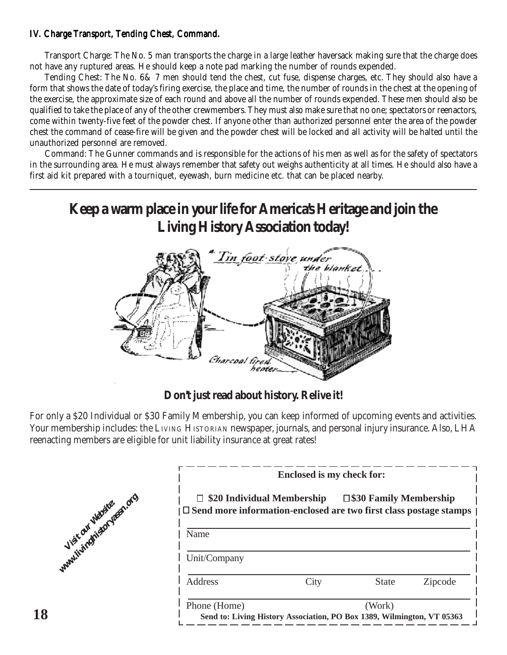#### IV. Charge Transport, Tending Chest, Command.

Transport Charge: The No. 5 man transports the charge in a large leather haversack making sure that the charge does not have any ruptured areas. He should keep a note pad marking the number of rounds expended.

Tending Chest: The No. 6& 7 men should tend the chest, cut fuse, dispense charges, etc. They should also have a form that shows the date of today's firing exercise, the place and time, the number of rounds in the chest at the opening of the exercise, the approximate size of each round and above all the number of rounds expended. These men should also be qualified to take the place of any of the other crewmembers. They must also make sure that no one; spectators or reenactors, come within twenty-five feet of the powder chest. If anyone other than authorized personnel enter the area of the powder chest the command of cease-fire will be given and the powder chest will be locked and all activity will be halted until the unauthorized personnel are removed.

Command: The Gunner commands and is responsible for the actions of his men as well as for the safety of spectators in the surrounding area. He must always remember that safety out weighs authenticity at all times. He should also have a first aid kit prepared with a tourniquet, eyewash, burn medicine etc. that can be placed nearby.

### **Keep a warm place in your life for America's Heritage and join the Living History Association today!**



### **Don't just read about history. Relive it!**

For only a \$20 Individual or \$30 Family Membership, you can keep informed of upcoming events and activities. Your membership includes: the LIVING HISTORIAN newspaper, journals, and personal injury insurance. Also, LHA reenacting members are eligible for unit liability insurance at great rates!



| <b>Enclosed is my check for:</b>                                                                          |      |                                                                                  |         |
|-----------------------------------------------------------------------------------------------------------|------|----------------------------------------------------------------------------------|---------|
| $\Box$ \$20 Individual Membership<br>  [Send more information-enclosed are two first class postage stamps |      | $\square$ \$30 Family Membership                                                 |         |
| Name                                                                                                      |      |                                                                                  |         |
| Unit/Company                                                                                              |      |                                                                                  |         |
| Address                                                                                                   | City | State                                                                            | Zipcode |
| Phone (Home)                                                                                              |      | (Work)<br>Send to: Living History Association, PO Box 1389, Wilmington, VT 05363 |         |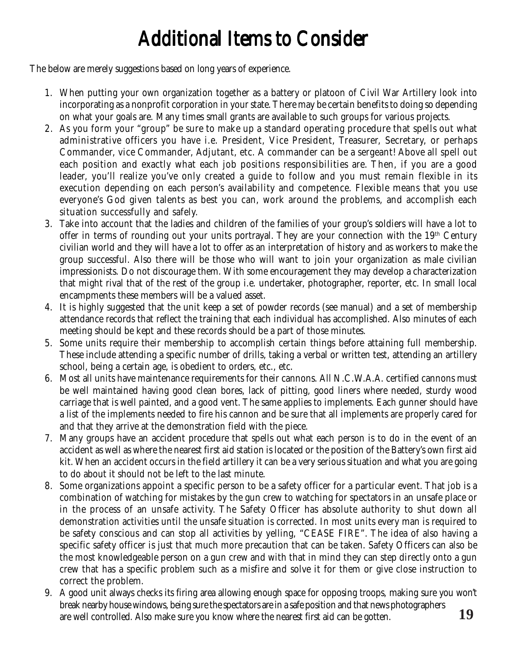# Additional Items to Consider

The below are merely suggestions based on long years of experience.

- 1. When putting your own organization together as a battery or platoon of Civil War Artillery look into incorporating as a nonprofit corporation in your state. There may be certain benefits to doing so depending on what your goals are. Many times small grants are available to such groups for various projects.
- 2. As you form your "group" be sure to make up a standard operating procedure that spells out what administrative officers you have i.e. President, Vice President, Treasurer, Secretary, or perhaps Commander, vice Commander, Adjutant, etc. A commander can be a sergeant! Above all spell out each position and exactly what each job positions responsibilities are. Then, if you are a good leader, you'll realize you've only created a guide to follow and you must remain flexible in its execution depending on each person's availability and competence. Flexible means that you use everyone's God given talents as best you can, work around the problems, and accomplish each situation successfully and safely.
- 3. Take into account that the ladies and children of the families of your group's soldiers will have a lot to offer in terms of rounding out your units portrayal. They are your connection with the 19<sup>th</sup> Century civilian world and they will have a lot to offer as an interpretation of history and as workers to make the group successful. Also there will be those who will want to join your organization as male civilian impressionists. Do not discourage them. With some encouragement they may develop a characterization that might rival that of the rest of the group i.e. undertaker, photographer, reporter, etc. In small local encampments these members will be a valued asset.
- 4. It is highly suggested that the unit keep a set of powder records (see manual) and a set of membership attendance records that reflect the training that each individual has accomplished. Also minutes of each meeting should be kept and these records should be a part of those minutes.
- 5. Some units require their membership to accomplish certain things before attaining full membership. These include attending a specific number of drills, taking a verbal or written test, attending an artillery school, being a certain age, is obedient to orders, etc., etc.
- 6. Most all units have maintenance requirements for their cannons. All N.C.W.A.A. certified cannons must be well maintained having good clean bores, lack of pitting, good liners where needed, sturdy wood carriage that is well painted, and a good vent. The same applies to implements. Each gunner should have a list of the implements needed to fire his cannon and be sure that all implements are properly cared for and that they arrive at the demonstration field with the piece.
- 7. Many groups have an accident procedure that spells out what each person is to do in the event of an accident as well as where the nearest first aid station is located or the position of the Battery's own first aid kit. When an accident occurs in the field artillery it can be a very serious situation and what you are going to do about it should not be left to the last minute.
- 8. Some organizations appoint a specific person to be a safety officer for a particular event. That job is a combination of watching for mistakes by the gun crew to watching for spectators in an unsafe place or in the process of an unsafe activity. The Safety Officer has absolute authority to shut down all demonstration activities until the unsafe situation is corrected. In most units every man is required to be safety conscious and can stop all activities by yelling, "CEASE FIRE". The idea of also having a specific safety officer is just that much more precaution that can be taken. Safety Officers can also be the most knowledgeable person on a gun crew and with that in mind they can step directly onto a gun crew that has a specific problem such as a misfire and solve it for them or give close instruction to correct the problem.
- **19** 9. A good unit always checks its firing area allowing enough space for opposing troops, making sure you won't break nearby house windows, being sure the spectators are in a safe position and that news photographers are well controlled. Also make sure you know where the nearest first aid can be gotten.